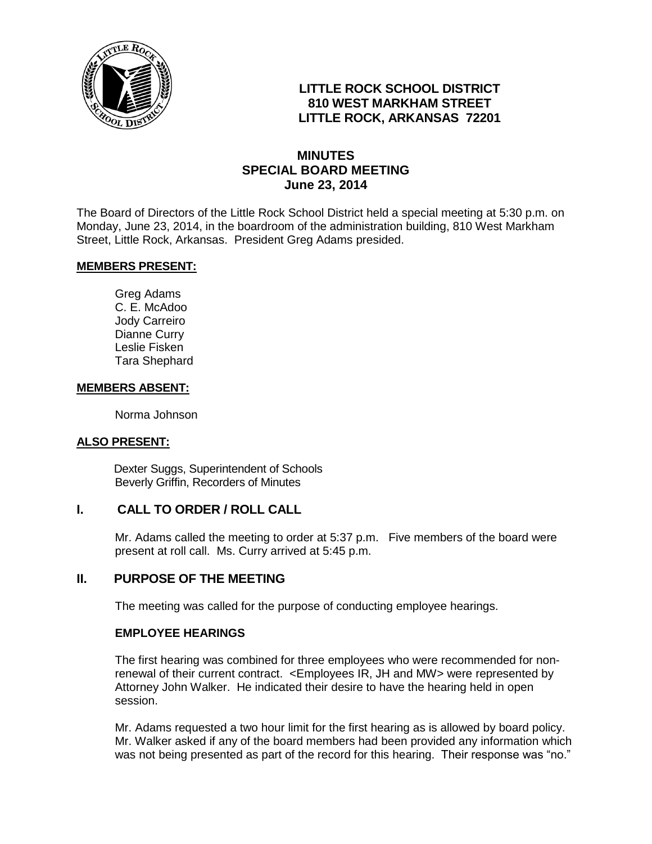

# **LITTLE ROCK SCHOOL DISTRICT 810 WEST MARKHAM STREET LITTLE ROCK, ARKANSAS 72201**

## **MINUTES SPECIAL BOARD MEETING June 23, 2014**

The Board of Directors of the Little Rock School District held a special meeting at 5:30 p.m. on Monday, June 23, 2014, in the boardroom of the administration building, 810 West Markham Street, Little Rock, Arkansas. President Greg Adams presided.

#### **MEMBERS PRESENT:**

Greg Adams C. E. McAdoo Jody Carreiro Dianne Curry Leslie Fisken Tara Shephard

#### **MEMBERS ABSENT:**

Norma Johnson

### **ALSO PRESENT:**

 Dexter Suggs, Superintendent of Schools Beverly Griffin, Recorders of Minutes

### **I. CALL TO ORDER / ROLL CALL**

Mr. Adams called the meeting to order at 5:37 p.m. Five members of the board were present at roll call. Ms. Curry arrived at 5:45 p.m.

### **II. PURPOSE OF THE MEETING**

The meeting was called for the purpose of conducting employee hearings.

#### **EMPLOYEE HEARINGS**

The first hearing was combined for three employees who were recommended for nonrenewal of their current contract. <Employees IR, JH and MW> were represented by Attorney John Walker. He indicated their desire to have the hearing held in open session.

Mr. Adams requested a two hour limit for the first hearing as is allowed by board policy. Mr. Walker asked if any of the board members had been provided any information which was not being presented as part of the record for this hearing. Their response was "no."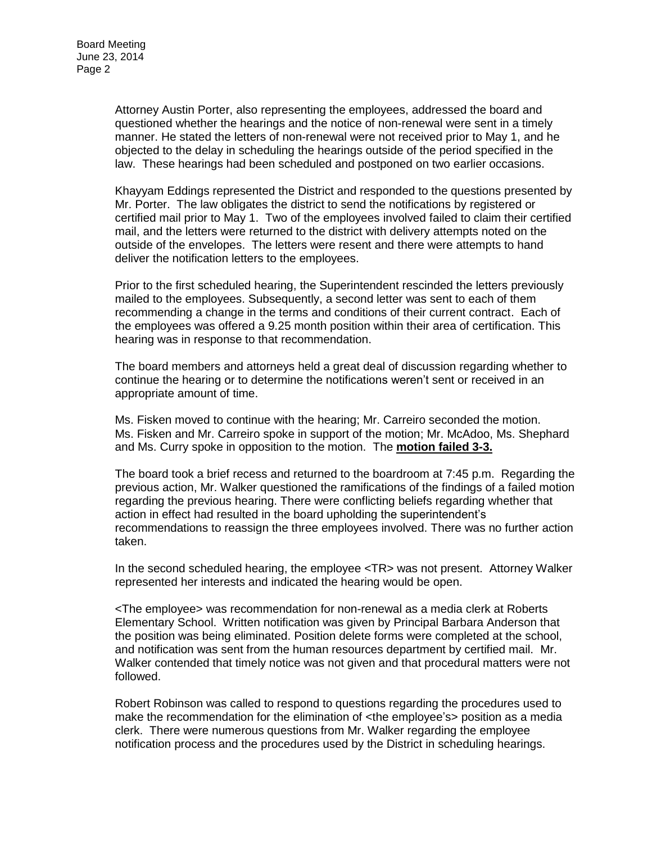Attorney Austin Porter, also representing the employees, addressed the board and questioned whether the hearings and the notice of non-renewal were sent in a timely manner. He stated the letters of non-renewal were not received prior to May 1, and he objected to the delay in scheduling the hearings outside of the period specified in the law. These hearings had been scheduled and postponed on two earlier occasions.

Khayyam Eddings represented the District and responded to the questions presented by Mr. Porter. The law obligates the district to send the notifications by registered or certified mail prior to May 1. Two of the employees involved failed to claim their certified mail, and the letters were returned to the district with delivery attempts noted on the outside of the envelopes. The letters were resent and there were attempts to hand deliver the notification letters to the employees.

Prior to the first scheduled hearing, the Superintendent rescinded the letters previously mailed to the employees. Subsequently, a second letter was sent to each of them recommending a change in the terms and conditions of their current contract. Each of the employees was offered a 9.25 month position within their area of certification. This hearing was in response to that recommendation.

The board members and attorneys held a great deal of discussion regarding whether to continue the hearing or to determine the notifications weren't sent or received in an appropriate amount of time.

Ms. Fisken moved to continue with the hearing; Mr. Carreiro seconded the motion. Ms. Fisken and Mr. Carreiro spoke in support of the motion; Mr. McAdoo, Ms. Shephard and Ms. Curry spoke in opposition to the motion. The **motion failed 3-3.**

The board took a brief recess and returned to the boardroom at 7:45 p.m. Regarding the previous action, Mr. Walker questioned the ramifications of the findings of a failed motion regarding the previous hearing. There were conflicting beliefs regarding whether that action in effect had resulted in the board upholding the superintendent's recommendations to reassign the three employees involved. There was no further action taken.

In the second scheduled hearing, the employee <TR> was not present. Attorney Walker represented her interests and indicated the hearing would be open.

<The employee> was recommendation for non-renewal as a media clerk at Roberts Elementary School. Written notification was given by Principal Barbara Anderson that the position was being eliminated. Position delete forms were completed at the school, and notification was sent from the human resources department by certified mail. Mr. Walker contended that timely notice was not given and that procedural matters were not followed.

Robert Robinson was called to respond to questions regarding the procedures used to make the recommendation for the elimination of <the employee's> position as a media clerk. There were numerous questions from Mr. Walker regarding the employee notification process and the procedures used by the District in scheduling hearings.